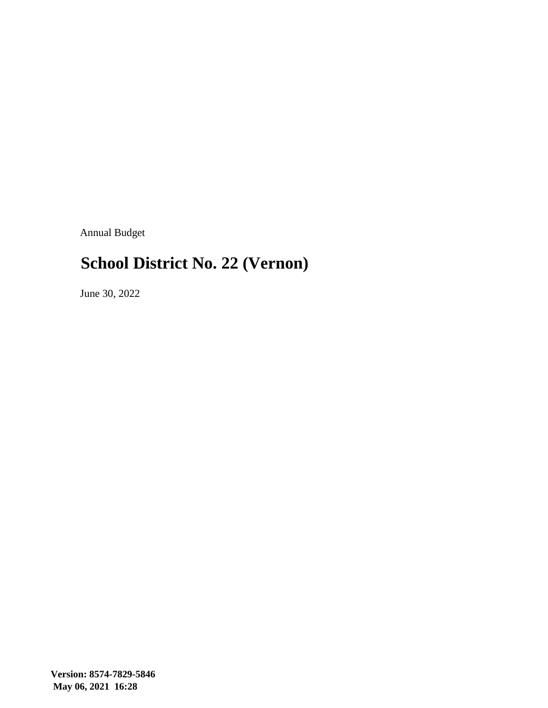Annual Budget

### **School District No. 22 (Vernon)**

June 30, 2022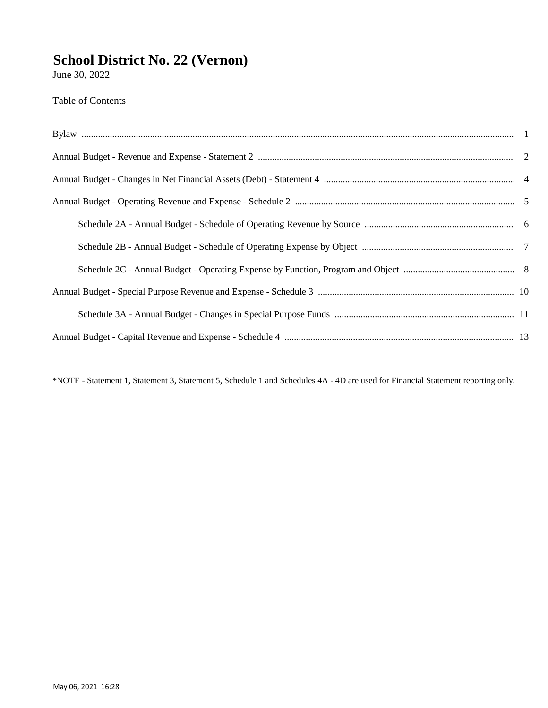June 30, 2022

Table of Contents

\*NOTE - Statement 1, Statement 3, Statement 5, Schedule 1 and Schedules 4A - 4D are used for Financial Statement reporting only.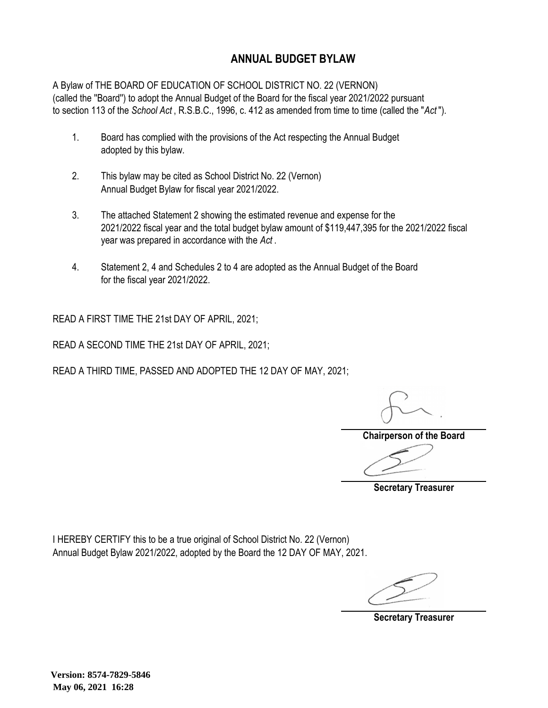#### **ANNUAL BUDGET BYLAW**

A Bylaw of THE BOARD OF EDUCATION OF SCHOOL DISTRICT NO. 22 (VERNON) (called the ''Board'') to adopt the Annual Budget of the Board for the fiscal year 2021/2022 pursuant to section 113 of the *School Act* , R.S.B.C., 1996, c. 412 as amended from time to time (called the "*Act* ").

- 1. Board has complied with the provisions of the Act respecting the Annual Budget adopted by this bylaw.
- 2. This bylaw may be cited as School District No. 22 (Vernon) Annual Budget Bylaw for fiscal year 2021/2022.
- 3. The attached Statement 2 showing the estimated revenue and expense for the 2021/2022 fiscal year and the total budget bylaw amount of \$119,447,395 for the 2021/2022 fiscal year was prepared in accordance with the *Act* .
- 4. Statement 2, 4 and Schedules 2 to 4 are adopted as the Annual Budget of the Board for the fiscal year 2021/2022.

READ A FIRST TIME THE 21st DAY OF APRIL, 2021;

READ A SECOND TIME THE 21st DAY OF APRIL, 2021;

READ A THIRD TIME, PASSED AND ADOPTED THE 12 DAY OF MAY, 2021;

**Chairperson of the Board**

**Secretary Treasurer**

I HEREBY CERTIFY this to be a true original of School District No. 22 (Vernon) Annual Budget Bylaw 2021/2022, adopted by the Board the 12 DAY OF MAY, 2021.

**Secretary Treasurer**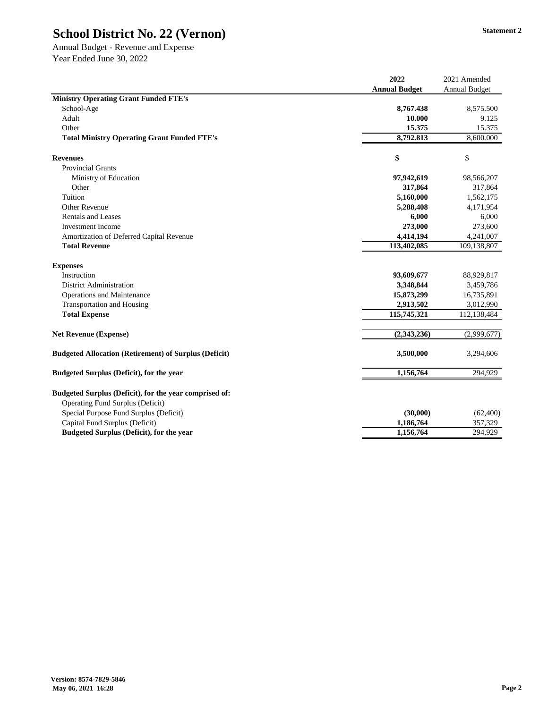Annual Budget - Revenue and Expense Year Ended June 30, 2022

|                                                                                                   | 2022                 | 2021 Amended         |
|---------------------------------------------------------------------------------------------------|----------------------|----------------------|
|                                                                                                   | <b>Annual Budget</b> | <b>Annual Budget</b> |
| <b>Ministry Operating Grant Funded FTE's</b>                                                      |                      |                      |
| School-Age                                                                                        | 8,767.438            | 8,575.500            |
| Adult                                                                                             | 10.000               | 9.125                |
| Other                                                                                             | 15.375               | 15.375               |
| <b>Total Ministry Operating Grant Funded FTE's</b>                                                | 8,792.813            | 8,600.000            |
| <b>Revenues</b>                                                                                   | \$                   | \$                   |
| <b>Provincial Grants</b>                                                                          |                      |                      |
| Ministry of Education                                                                             | 97,942,619           | 98,566,207           |
| Other                                                                                             | 317,864              | 317,864              |
| Tuition                                                                                           | 5,160,000            | 1,562,175            |
| <b>Other Revenue</b>                                                                              | 5,288,408            | 4,171,954            |
| <b>Rentals and Leases</b>                                                                         | 6,000                | 6,000                |
| <b>Investment Income</b>                                                                          | 273,000              | 273,600              |
| Amortization of Deferred Capital Revenue                                                          | 4,414,194            | 4,241,007            |
| <b>Total Revenue</b>                                                                              | 113,402,085          | 109,138,807          |
| <b>Expenses</b>                                                                                   |                      |                      |
| Instruction                                                                                       | 93,609,677           | 88,929,817           |
| <b>District Administration</b>                                                                    | 3,348,844            | 3,459,786            |
| <b>Operations and Maintenance</b>                                                                 | 15,873,299           | 16,735,891           |
| <b>Transportation and Housing</b>                                                                 | 2,913,502            | 3,012,990            |
| <b>Total Expense</b>                                                                              | 115,745,321          | 112,138,484          |
| <b>Net Revenue (Expense)</b>                                                                      | (2,343,236)          | (2,999,677)          |
| <b>Budgeted Allocation (Retirement) of Surplus (Deficit)</b>                                      | 3,500,000            | 3,294,606            |
| <b>Budgeted Surplus (Deficit), for the year</b>                                                   | 1,156,764            | 294,929              |
| Budgeted Surplus (Deficit), for the year comprised of:<br><b>Operating Fund Surplus (Deficit)</b> |                      |                      |
| Special Purpose Fund Surplus (Deficit)                                                            | (30,000)             | (62,400)             |
| Capital Fund Surplus (Deficit)                                                                    | 1,186,764            | 357,329              |
| <b>Budgeted Surplus (Deficit), for the year</b>                                                   | 1,156,764            | 294,929              |
|                                                                                                   |                      |                      |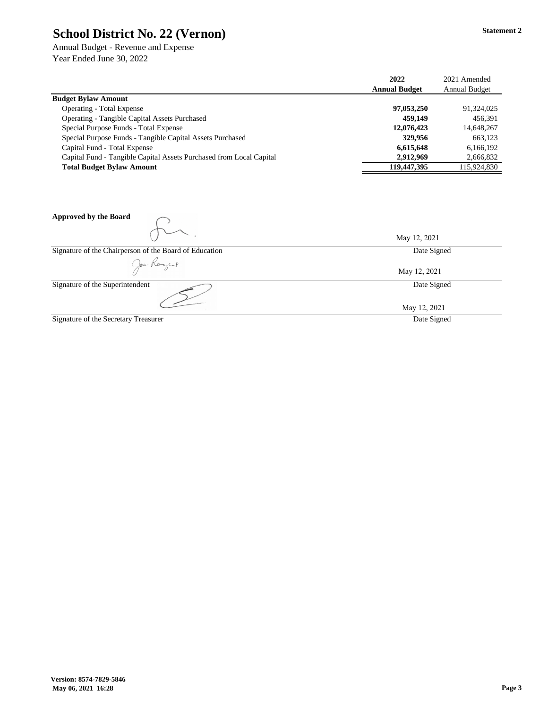Annual Budget - Revenue and Expense Year Ended June 30, 2022

|                                                                     | 2022                 | 2021 Amended         |
|---------------------------------------------------------------------|----------------------|----------------------|
|                                                                     | <b>Annual Budget</b> | <b>Annual Budget</b> |
| <b>Budget Bylaw Amount</b>                                          |                      |                      |
| <b>Operating - Total Expense</b>                                    | 97,053,250           | 91,324,025           |
| <b>Operating - Tangible Capital Assets Purchased</b>                | 459,149              | 456,391              |
| Special Purpose Funds - Total Expense                               | 12,076,423           | 14,648,267           |
| Special Purpose Funds - Tangible Capital Assets Purchased           | 329,956              | 663,123              |
| Capital Fund - Total Expense                                        | 6,615,648            | 6,166,192            |
| Capital Fund - Tangible Capital Assets Purchased from Local Capital | 2,912,969            | 2,666,832            |
| <b>Total Budget Bylaw Amount</b>                                    | 119,447,395          | 115,924,830          |

| <b>Approved by the Board</b>                           |              |
|--------------------------------------------------------|--------------|
|                                                        | May 12, 2021 |
| Signature of the Chairperson of the Board of Education | Date Signed  |
| Joe Rogers                                             | May 12, 2021 |
| Signature of the Superintendent                        | Date Signed  |
|                                                        | May 12, 2021 |
| Signature of the Secretary Treasurer                   | Date Signed  |

**Statement 2**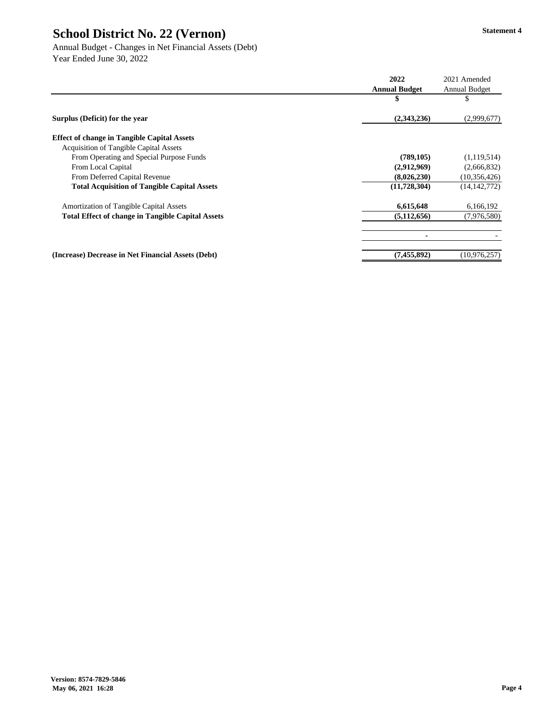Annual Budget - Changes in Net Financial Assets (Debt) Year Ended June 30, 2022

|                                                          | 2022                 | 2021 Amended         |
|----------------------------------------------------------|----------------------|----------------------|
|                                                          | <b>Annual Budget</b> | <b>Annual Budget</b> |
|                                                          | \$                   | D                    |
| Surplus (Deficit) for the year                           | (2,343,236)          | (2,999,677)          |
| <b>Effect of change in Tangible Capital Assets</b>       |                      |                      |
| <b>Acquisition of Tangible Capital Assets</b>            |                      |                      |
| From Operating and Special Purpose Funds                 | (789, 105)           | (1,119,514)          |
| From Local Capital                                       | (2,912,969)          | (2,666,832)          |
| From Deferred Capital Revenue                            | (8,026,230)          | (10, 356, 426)       |
| <b>Total Acquisition of Tangible Capital Assets</b>      | (11, 728, 304)       | (14, 142, 772)       |
| <b>Amortization of Tangible Capital Assets</b>           | 6,615,648            | 6,166,192            |
| <b>Total Effect of change in Tangible Capital Assets</b> | (5, 112, 656)        | (7,976,580)          |
|                                                          |                      |                      |
| (Increase) Decrease in Net Financial Assets (Debt)       | (7,455,892)          | (10, 976, 257)       |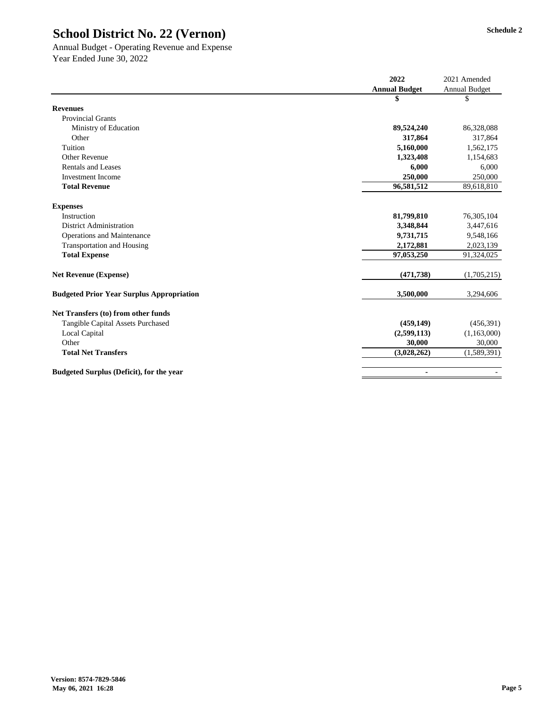Annual Budget - Operating Revenue and Expense Year Ended June 30, 2022

|                                                  | 2022                 | 2021 Amended         |
|--------------------------------------------------|----------------------|----------------------|
|                                                  | <b>Annual Budget</b> | <b>Annual Budget</b> |
|                                                  | \$                   | \$                   |
| <b>Revenues</b>                                  |                      |                      |
| <b>Provincial Grants</b>                         |                      |                      |
| Ministry of Education                            | 89,524,240           | 86,328,088           |
| Other                                            | 317,864              | 317,864              |
| Tuition                                          | 5,160,000            | 1,562,175            |
| <b>Other Revenue</b>                             | 1,323,408            | 1,154,683            |
| <b>Rentals and Leases</b>                        | 6,000                | 6,000                |
| <b>Investment Income</b>                         | 250,000              | 250,000              |
| <b>Total Revenue</b>                             | 96,581,512           | 89,618,810           |
| <b>Expenses</b>                                  |                      |                      |
| Instruction                                      | 81,799,810           | 76,305,104           |
| <b>District Administration</b>                   | 3,348,844            | 3,447,616            |
| <b>Operations and Maintenance</b>                | 9,731,715            | 9,548,166            |
| <b>Transportation and Housing</b>                | 2,172,881            | 2,023,139            |
| <b>Total Expense</b>                             | 97,053,250           | 91,324,025           |
| <b>Net Revenue (Expense)</b>                     | (471, 738)           | (1,705,215)          |
| <b>Budgeted Prior Year Surplus Appropriation</b> | 3,500,000            | 3,294,606            |
| Net Transfers (to) from other funds              |                      |                      |
| <b>Tangible Capital Assets Purchased</b>         | (459, 149)           | (456,391)            |
| <b>Local Capital</b>                             | (2,599,113)          | (1,163,000)          |
| Other                                            | 30,000               | 30,000               |
| <b>Total Net Transfers</b>                       | (3,028,262)          | (1,589,391)          |
| <b>Budgeted Surplus (Deficit), for the year</b>  | $\blacksquare$       |                      |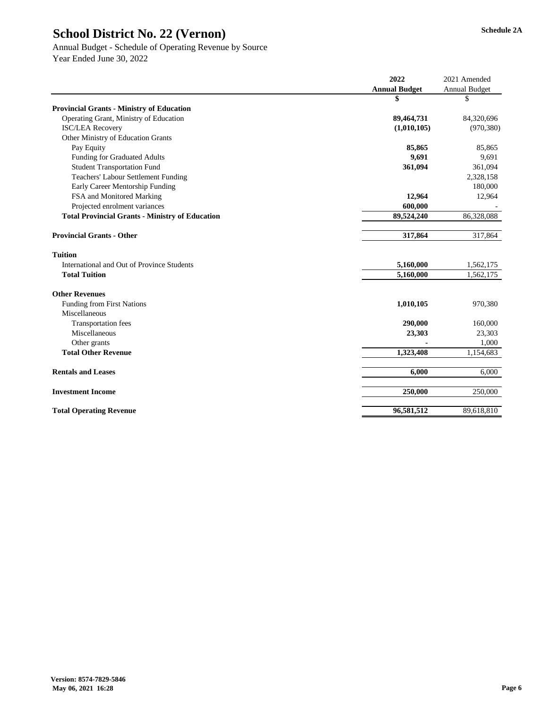# Annual Budget - Schedule of Operating Revenue by Source

|                                                        | 2022                 | 2021 Amended         |
|--------------------------------------------------------|----------------------|----------------------|
|                                                        | <b>Annual Budget</b> | <b>Annual Budget</b> |
|                                                        | \$                   | \$                   |
| <b>Provincial Grants - Ministry of Education</b>       |                      |                      |
| Operating Grant, Ministry of Education                 | 89,464,731           | 84,320,696           |
| <b>ISC/LEA Recovery</b>                                | (1,010,105)          | (970, 380)           |
| <b>Other Ministry of Education Grants</b>              |                      |                      |
| Pay Equity                                             | 85,865               | 85,865               |
| <b>Funding for Graduated Adults</b>                    | 9,691                | 9,691                |
| <b>Student Transportation Fund</b>                     | 361,094              | 361,094              |
| <b>Teachers' Labour Settlement Funding</b>             |                      | 2,328,158            |
| Early Career Mentorship Funding                        |                      | 180,000              |
| FSA and Monitored Marking                              | 12,964               | 12,964               |
| Projected enrolment variances                          | 600,000              |                      |
| <b>Total Provincial Grants - Ministry of Education</b> | 89,524,240           | 86,328,088           |
| <b>Provincial Grants - Other</b>                       | 317,864              | 317,864              |
| <b>Tuition</b>                                         |                      |                      |
| International and Out of Province Students             | 5,160,000            | 1,562,175            |
| <b>Total Tuition</b>                                   | 5,160,000            | 1,562,175            |
| <b>Other Revenues</b>                                  |                      |                      |
| <b>Funding from First Nations</b>                      | 1,010,105            | 970,380              |
| Miscellaneous                                          |                      |                      |
| <b>Transportation fees</b>                             | 290,000              | 160,000              |
| Miscellaneous                                          | 23,303               | 23,303               |
| Other grants                                           |                      | 1,000                |
| <b>Total Other Revenue</b>                             | 1,323,408            | 1,154,683            |
| <b>Rentals and Leases</b>                              | 6,000                | 6,000                |
| <b>Investment Income</b>                               | 250,000              | 250,000              |
| <b>Total Operating Revenue</b>                         | 96,581,512           | 89,618,810           |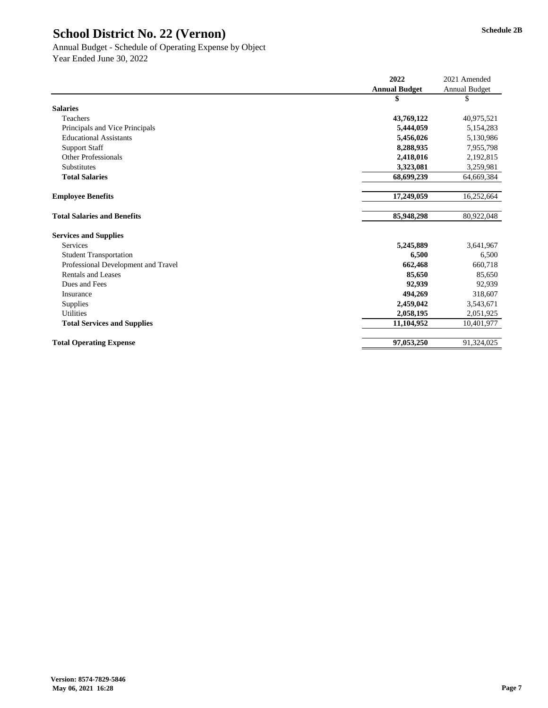#### Annual Budget - Schedule of Operating Expense by Object Year Ended June 30, 2022

|                                     | 2022                 | 2021 Amended         |
|-------------------------------------|----------------------|----------------------|
|                                     | <b>Annual Budget</b> | <b>Annual Budget</b> |
|                                     | \$                   | \$                   |
| <b>Salaries</b>                     |                      |                      |
| Teachers                            | 43,769,122           | 40,975,521           |
| Principals and Vice Principals      | 5,444,059            | 5,154,283            |
| <b>Educational Assistants</b>       | 5,456,026            | 5,130,986            |
| <b>Support Staff</b>                | 8,288,935            | 7,955,798            |
| <b>Other Professionals</b>          | 2,418,016            | 2,192,815            |
| Substitutes                         | 3,323,081            | 3,259,981            |
| <b>Total Salaries</b>               | 68,699,239           | 64,669,384           |
|                                     |                      |                      |
| <b>Employee Benefits</b>            | 17,249,059           | 16,252,664           |
|                                     |                      |                      |
| <b>Total Salaries and Benefits</b>  | 85,948,298           | 80,922,048           |
| <b>Services and Supplies</b>        |                      |                      |
| <b>Services</b>                     | 5,245,889            | 3,641,967            |
| <b>Student Transportation</b>       | 6,500                | 6,500                |
| Professional Development and Travel | 662,468              | 660,718              |
| <b>Rentals and Leases</b>           | 85,650               | 85,650               |
| Dues and Fees                       | 92,939               | 92,939               |
| Insurance                           | 494,269              | 318,607              |
| <b>Supplies</b>                     | 2,459,042            | 3,543,671            |
| <b>Utilities</b>                    | 2,058,195            | 2,051,925            |
| <b>Total Services and Supplies</b>  | 11,104,952           | 10,401,977           |
| <b>Total Operating Expense</b>      | 97,053,250           | 91,324,025           |
|                                     |                      |                      |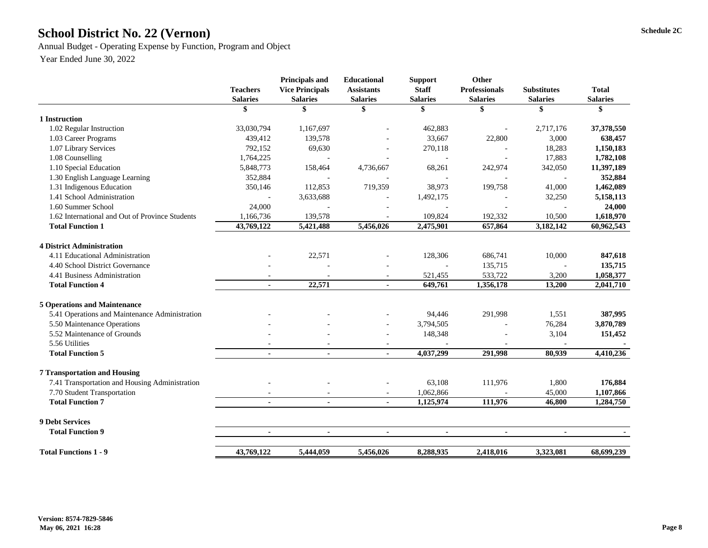# School District No. 22 (Vernon) Schedule 2C

Annual Budget - Operating Expense by Function, Program and Object

|                                                 | <b>Teachers</b><br><b>Salaries</b> | <b>Principals and</b><br><b>Vice Principals</b><br><b>Salaries</b> | <b>Educational</b><br><b>Assistants</b><br><b>Salaries</b> | <b>Support</b><br><b>Staff</b><br><b>Salaries</b> | Other<br><b>Professionals</b><br><b>Salaries</b> | <b>Substitutes</b><br><b>Salaries</b> | <b>Total</b><br><b>Salaries</b> |
|-------------------------------------------------|------------------------------------|--------------------------------------------------------------------|------------------------------------------------------------|---------------------------------------------------|--------------------------------------------------|---------------------------------------|---------------------------------|
|                                                 | \$                                 | \$                                                                 | \$                                                         | \$                                                | \$                                               | \$                                    | \$                              |
| 1 Instruction                                   |                                    |                                                                    |                                                            |                                                   |                                                  |                                       |                                 |
| 1.02 Regular Instruction                        | 33,030,794                         | 1,167,697                                                          |                                                            | 462,883                                           |                                                  | 2,717,176                             | 37,378,550                      |
| 1.03 Career Programs                            | 439,412                            | 139,578                                                            |                                                            | 33,667                                            | 22,800                                           | 3,000                                 | 638,457                         |
| 1.07 Library Services                           | 792,152                            | 69,630                                                             |                                                            | 270,118                                           |                                                  | 18,283                                | 1,150,183                       |
| 1.08 Counselling                                | 1,764,225                          |                                                                    |                                                            |                                                   |                                                  | 17,883                                | 1,782,108                       |
| 1.10 Special Education                          | 5,848,773                          | 158,464                                                            | 4,736,667                                                  | 68,261                                            | 242,974                                          | 342,050                               | 11,397,189                      |
| 1.30 English Language Learning                  | 352,884                            |                                                                    |                                                            |                                                   |                                                  |                                       | 352,884                         |
| 1.31 Indigenous Education                       | 350,146                            | 112,853                                                            | 719,359                                                    | 38,973                                            | 199,758                                          | 41,000                                | 1,462,089                       |
| 1.41 School Administration                      |                                    | 3,633,688                                                          |                                                            | 1,492,175                                         |                                                  | 32,250                                | 5,158,113                       |
| 1.60 Summer School                              | 24,000                             |                                                                    |                                                            |                                                   |                                                  |                                       | 24,000                          |
| 1.62 International and Out of Province Students | 1,166,736                          | 139,578                                                            |                                                            | 109,824                                           | 192,332                                          | 10,500                                | 1,618,970                       |
| <b>Total Function 1</b>                         | 43,769,122                         | 5,421,488                                                          | 5,456,026                                                  | 2,475,901                                         | 657,864                                          | 3,182,142                             | 60,962,543                      |
| <b>4 District Administration</b>                |                                    |                                                                    |                                                            |                                                   |                                                  |                                       |                                 |
| 4.11 Educational Administration                 |                                    | 22,571                                                             |                                                            | 128,306                                           | 686,741                                          | 10,000                                | 847,618                         |
| 4.40 School District Governance                 |                                    |                                                                    |                                                            |                                                   | 135,715                                          |                                       | 135,715                         |
| 4.41 Business Administration                    |                                    |                                                                    | $\blacksquare$                                             | 521,455                                           | 533,722                                          | 3,200                                 | 1,058,377                       |
| <b>Total Function 4</b>                         |                                    | 22,571                                                             | $\blacksquare$                                             | 649,761                                           | 1,356,178                                        | 13,200                                | 2,041,710                       |
| <b>5 Operations and Maintenance</b>             |                                    |                                                                    |                                                            |                                                   |                                                  |                                       |                                 |
| 5.41 Operations and Maintenance Administration  |                                    |                                                                    |                                                            | 94,446                                            | 291,998                                          | 1,551                                 | 387,995                         |
| 5.50 Maintenance Operations                     |                                    |                                                                    | $\overline{\phantom{a}}$                                   | 3,794,505                                         |                                                  | 76,284                                | 3,870,789                       |
| 5.52 Maintenance of Grounds                     |                                    |                                                                    | $\overline{\phantom{a}}$                                   | 148,348                                           |                                                  | 3,104                                 | 151,452                         |
| 5.56 Utilities                                  |                                    |                                                                    |                                                            |                                                   |                                                  |                                       |                                 |
| <b>Total Function 5</b>                         | $\blacksquare$                     | $\blacksquare$                                                     | $\blacksquare$                                             | 4,037,299                                         | 291,998                                          | 80,939                                | 4,410,236                       |
| <b>7 Transportation and Housing</b>             |                                    |                                                                    |                                                            |                                                   |                                                  |                                       |                                 |
| 7.41 Transportation and Housing Administration  |                                    |                                                                    |                                                            | 63,108                                            | 111,976                                          | 1,800                                 | 176,884                         |
| 7.70 Student Transportation                     |                                    |                                                                    | $\overline{\phantom{a}}$                                   | 1,062,866                                         |                                                  | 45,000                                | 1,107,866                       |
| <b>Total Function 7</b>                         | $\blacksquare$                     | $\blacksquare$                                                     | $\blacksquare$                                             | 1,125,974                                         | 111,976                                          | 46,800                                | 1,284,750                       |
| <b>9 Debt Services</b>                          |                                    |                                                                    |                                                            |                                                   |                                                  |                                       |                                 |
| <b>Total Function 9</b>                         | $\blacksquare$                     | $\blacksquare$                                                     |                                                            |                                                   |                                                  |                                       |                                 |
| <b>Total Functions 1 - 9</b>                    | 43,769,122                         | 5,444,059                                                          | 5,456,026                                                  | 8,288,935                                         | 2,418,016                                        | 3,323,081                             | 68,699,239                      |
|                                                 |                                    |                                                                    |                                                            |                                                   |                                                  |                                       |                                 |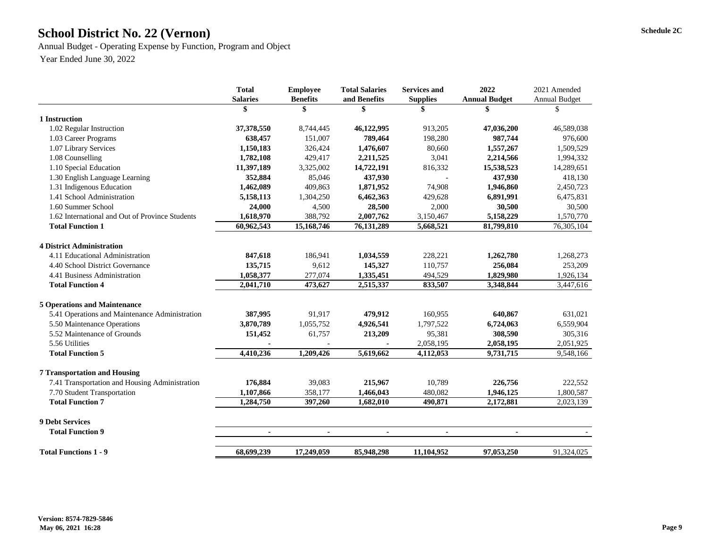## **Schedule 2C School District No. 22 (Vernon)**

Annual Budget - Operating Expense by Function, Program and Object Year Ended June 30, 2022

|                                                 | <b>Total</b>    | <b>Employee</b> | <b>Total Salaries</b> | <b>Services and</b> | 2022                 | 2021 Amended         |
|-------------------------------------------------|-----------------|-----------------|-----------------------|---------------------|----------------------|----------------------|
|                                                 | <b>Salaries</b> | <b>Benefits</b> | and Benefits          | <b>Supplies</b>     | <b>Annual Budget</b> | <b>Annual Budget</b> |
|                                                 |                 | \$              | \$                    |                     | \$                   | \$                   |
| 1 Instruction                                   |                 |                 |                       |                     |                      |                      |
| 1.02 Regular Instruction                        | 37,378,550      | 8,744,445       | 46,122,995            | 913,205             | 47,036,200           | 46,589,038           |
| 1.03 Career Programs                            | 638,457         | 151,007         | 789,464               | 198,280             | 987,744              | 976,600              |
| 1.07 Library Services                           | 1,150,183       | 326,424         | 1,476,607             | 80,660              | 1,557,267            | 1,509,529            |
| 1.08 Counselling                                | 1,782,108       | 429,417         | 2,211,525             | 3,041               | 2,214,566            | 1,994,332            |
| 1.10 Special Education                          | 11,397,189      | 3,325,002       | 14,722,191            | 816,332             | 15,538,523           | 14,289,651           |
| 1.30 English Language Learning                  | 352,884         | 85,046          | 437,930               |                     | 437,930              | 418,130              |
| 1.31 Indigenous Education                       | 1,462,089       | 409,863         | 1,871,952             | 74,908              | 1,946,860            | 2,450,723            |
| 1.41 School Administration                      | 5,158,113       | 1,304,250       | 6,462,363             | 429,628             | 6,891,991            | 6,475,831            |
| 1.60 Summer School                              | 24,000          | 4,500           | 28,500                | 2,000               | 30,500               | 30,500               |
| 1.62 International and Out of Province Students | 1,618,970       | 388,792         | 2,007,762             | 3,150,467           | 5,158,229            | 1,570,770            |
| <b>Total Function 1</b>                         | 60,962,543      | 15,168,746      | 76,131,289            | 5,668,521           | 81,799,810           | 76,305,104           |
| <b>4 District Administration</b>                |                 |                 |                       |                     |                      |                      |
| 4.11 Educational Administration                 | 847,618         | 186,941         | 1,034,559             | 228,221             | 1,262,780            | 1,268,273            |
| 4.40 School District Governance                 | 135,715         | 9,612           | 145,327               | 110,757             | 256,084              | 253,209              |
| 4.41 Business Administration                    | 1,058,377       | 277,074         | 1,335,451             | 494,529             | 1,829,980            | 1,926,134            |
| <b>Total Function 4</b>                         | 2,041,710       | 473,627         | 2,515,337             | 833,507             | 3,348,844            | 3,447,616            |
| <b>5 Operations and Maintenance</b>             |                 |                 |                       |                     |                      |                      |
| 5.41 Operations and Maintenance Administration  | 387,995         | 91,917          | 479,912               | 160,955             | 640,867              | 631,021              |
| 5.50 Maintenance Operations                     | 3,870,789       | 1,055,752       | 4,926,541             | 1,797,522           | 6,724,063            | 6,559,904            |
| 5.52 Maintenance of Grounds                     | 151,452         | 61,757          | 213,209               | 95,381              | 308,590              | 305,316              |
| 5.56 Utilities                                  |                 |                 |                       | 2,058,195           | 2,058,195            | 2,051,925            |
| <b>Total Function 5</b>                         | 4,410,236       | 1,209,426       | 5,619,662             | 4,112,053           | 9,731,715            | 9,548,166            |
| <b>7 Transportation and Housing</b>             |                 |                 |                       |                     |                      |                      |
| 7.41 Transportation and Housing Administration  | 176,884         | 39,083          | 215,967               | 10,789              | 226,756              | 222,552              |
| 7.70 Student Transportation                     | 1,107,866       | 358,177         | 1,466,043             | 480,082             | 1,946,125            | 1,800,587            |
| <b>Total Function 7</b>                         | 1,284,750       | 397,260         | 1,682,010             | 490,871             | 2,172,881            | 2,023,139            |
| <b>9 Debt Services</b>                          |                 |                 |                       |                     |                      |                      |
| <b>Total Function 9</b>                         |                 |                 |                       |                     |                      |                      |
|                                                 |                 | $\blacksquare$  |                       |                     | $\blacksquare$       |                      |
| <b>Total Functions 1 - 9</b>                    | 68,699,239      | 17,249,059      | 85,948,298            | 11,104,952          | 97,053,250           | 91,324,025           |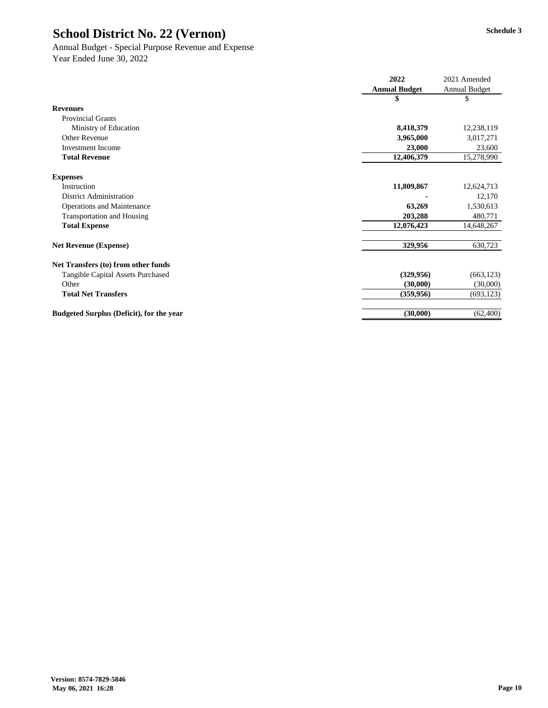# Annual Budget - Special Purpose Revenue and Expense

|                                                 | 2022                 | 2021 Amended         |
|-------------------------------------------------|----------------------|----------------------|
|                                                 | <b>Annual Budget</b> | <b>Annual Budget</b> |
|                                                 |                      | \$                   |
| <b>Revenues</b>                                 |                      |                      |
| <b>Provincial Grants</b>                        |                      |                      |
| Ministry of Education                           | 8,418,379            | 12,238,119           |
| <b>Other Revenue</b>                            | 3,965,000            | 3,017,271            |
| <b>Investment Income</b>                        | 23,000               | 23,600               |
| <b>Total Revenue</b>                            | 12,406,379           | 15,278,990           |
| <b>Expenses</b>                                 |                      |                      |
| Instruction                                     | 11,809,867           | 12,624,713           |
| <b>District Administration</b>                  |                      | 12,170               |
| <b>Operations and Maintenance</b>               | 63,269               | 1,530,613            |
| <b>Transportation and Housing</b>               | 203,288              | 480,771              |
| <b>Total Expense</b>                            | 12,076,423           | 14,648,267           |
| <b>Net Revenue (Expense)</b>                    | 329,956              | 630,723              |
| Net Transfers (to) from other funds             |                      |                      |
| <b>Tangible Capital Assets Purchased</b>        | (329, 956)           | (663, 123)           |
| Other                                           | (30,000)             | (30,000)             |
| <b>Total Net Transfers</b>                      | (359, 956)           | (693, 123)           |
| <b>Budgeted Surplus (Deficit), for the year</b> | (30,000)             | (62, 400)            |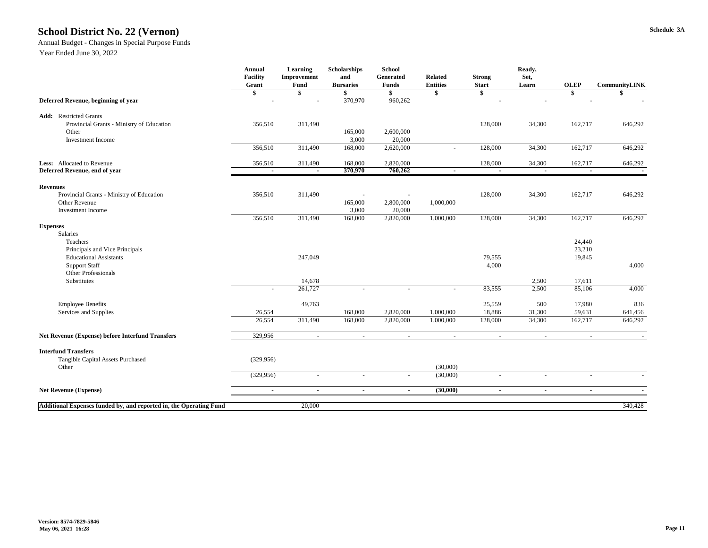### **Schedule 3A School District No. 22 (Vernon)**

#### Annual Budget - Changes in Special Purpose Funds

|                                                                                               | <b>Annual</b><br><b>Facility</b><br>Grant | <b>Learning</b><br>Improvement<br><b>Fund</b> | <b>Scholarships</b><br>and<br><b>Bursaries</b> | <b>School</b><br>Generated<br><b>Funds</b> | <b>Related</b><br><b>Entities</b> | <b>Strong</b><br><b>Start</b> | Ready,<br>Set,<br>Learn | <b>OLEP</b>              | <b>CommunityLINK</b> |
|-----------------------------------------------------------------------------------------------|-------------------------------------------|-----------------------------------------------|------------------------------------------------|--------------------------------------------|-----------------------------------|-------------------------------|-------------------------|--------------------------|----------------------|
| Deferred Revenue, beginning of year                                                           | \$                                        | \$                                            | 370,970                                        | \$<br>960,262                              |                                   | \$                            |                         | $\boldsymbol{\$}$        |                      |
| <b>Add:</b> Restricted Grants<br>Provincial Grants - Ministry of Education                    | 356,510                                   | 311,490                                       |                                                |                                            |                                   | 128,000                       | 34,300                  | 162,717                  | 646,292              |
| Other<br><b>Investment Income</b>                                                             |                                           |                                               | 165,000<br>3,000                               | 2,600,000<br>20,000                        |                                   |                               |                         |                          |                      |
|                                                                                               | 356,510                                   | 311,490                                       | 168,000                                        | 2,620,000                                  |                                   | 128,000                       | 34,300                  | 162,717                  | 646,292              |
| Less: Allocated to Revenue                                                                    | 356,510                                   | 311,490                                       | 168,000                                        | 2,820,000                                  |                                   | 128,000                       | 34,300                  | 162,717                  | 646,292              |
| Deferred Revenue, end of year                                                                 | $\blacksquare$                            | $\blacksquare$                                | 370,970                                        | 760,262                                    |                                   | $\sim$                        | $\sim$                  | $\sim$                   | $\sim$               |
| <b>Revenues</b>                                                                               |                                           |                                               |                                                |                                            |                                   |                               |                         |                          |                      |
| Provincial Grants - Ministry of Education<br><b>Other Revenue</b><br><b>Investment Income</b> | 356,510                                   | 311,490                                       | 165,000<br>3,000                               | 2,800,000<br>20,000                        | 1,000,000                         | 128,000                       | 34,300                  | 162,717                  | 646,292              |
|                                                                                               | 356,510                                   | 311,490                                       | 168,000                                        | 2,820,000                                  | 1,000,000                         | 128,000                       | 34,300                  | 162,717                  | 646,292              |
| <b>Expenses</b>                                                                               |                                           |                                               |                                                |                                            |                                   |                               |                         |                          |                      |
| Salaries<br>Teachers                                                                          |                                           |                                               |                                                |                                            |                                   |                               |                         | 24,440                   |                      |
| Principals and Vice Principals                                                                |                                           |                                               |                                                |                                            |                                   |                               |                         | 23,210                   |                      |
| <b>Educational Assistants</b>                                                                 |                                           | 247,049                                       |                                                |                                            |                                   | 79,555                        |                         | 19,845                   |                      |
| <b>Support Staff</b>                                                                          |                                           |                                               |                                                |                                            |                                   | 4,000                         |                         |                          | 4,000                |
| <b>Other Professionals</b><br>Substitutes                                                     |                                           | 14,678                                        |                                                |                                            |                                   |                               | 2,500                   | 17,611                   |                      |
|                                                                                               | $\overline{\phantom{0}}$                  | 261,727                                       | $\overline{\phantom{a}}$                       |                                            |                                   | 83,555                        | 2,500                   | 85,106                   | 4,000                |
| <b>Employee Benefits</b>                                                                      |                                           | 49,763                                        |                                                |                                            |                                   | 25,559                        | 500                     | 17,980                   | 836                  |
| Services and Supplies                                                                         | 26,554                                    |                                               | 168,000                                        | 2,820,000                                  | 1,000,000                         | 18,886                        | 31,300                  | 59,631                   | 641,456              |
|                                                                                               | 26,554                                    | 311,490                                       | 168,000                                        | 2,820,000                                  | 1,000,000                         | 128,000                       | 34,300                  | 162,717                  | 646,292              |
| <b>Net Revenue (Expense) before Interfund Transfers</b>                                       | 329,956                                   | $\sim$                                        | $\overline{\phantom{a}}$                       | $\overline{\phantom{a}}$                   | $\overline{\phantom{a}}$          | $\overline{\phantom{a}}$      | $\sim$                  | $\overline{\phantom{a}}$ | $\sim$               |
| <b>Interfund Transfers</b>                                                                    |                                           |                                               |                                                |                                            |                                   |                               |                         |                          |                      |
| Tangible Capital Assets Purchased                                                             | (329, 956)                                |                                               |                                                |                                            |                                   |                               |                         |                          |                      |
| Other                                                                                         | (329, 956)                                |                                               |                                                |                                            | (30,000)<br>(30,000)              |                               |                         |                          |                      |
|                                                                                               |                                           |                                               |                                                |                                            |                                   |                               |                         |                          |                      |
| <b>Net Revenue (Expense)</b>                                                                  | $\sim$                                    | $\sim$                                        | $\blacksquare$                                 | $\sim$                                     | (30,000)                          | $\blacksquare$                | $\sim$                  | $\sim$                   |                      |
| Additional Expenses funded by, and reported in, the Operating Fund                            |                                           | 20,000                                        |                                                |                                            |                                   |                               |                         |                          | 340,428              |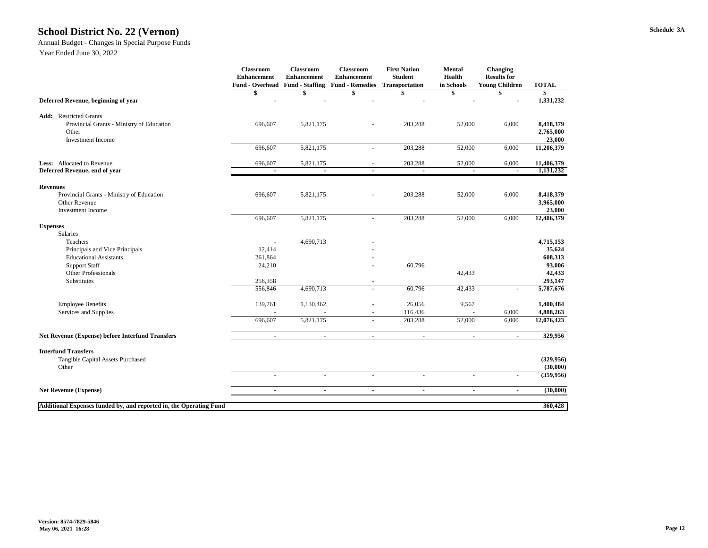### **Schedule 3A School District No. 22 (Vernon)**

#### Annual Budget - Changes in Special Purpose Funds

|                                                                                                                    | <b>Classroom</b><br><b>Enhancement</b><br><b>Fund - Overhead</b> | <b>Classroom</b><br><b>Enhancement</b><br><b>Fund - Staffing</b> | <b>Classroom</b><br><b>Enhancement</b><br><b>Fund - Remedies</b> | <b>First Nation</b><br><b>Student</b><br>Transportation | <b>Mental</b><br><b>Health</b><br>in Schools | <b>Changing</b><br><b>Results for</b><br><b>Young Children</b> | <b>TOTAL</b>                     |
|--------------------------------------------------------------------------------------------------------------------|------------------------------------------------------------------|------------------------------------------------------------------|------------------------------------------------------------------|---------------------------------------------------------|----------------------------------------------|----------------------------------------------------------------|----------------------------------|
|                                                                                                                    |                                                                  |                                                                  | \$                                                               |                                                         |                                              |                                                                | \$                               |
| Deferred Revenue, beginning of year                                                                                |                                                                  |                                                                  |                                                                  |                                                         |                                              |                                                                | 1,331,232                        |
| <b>Restricted Grants</b><br>Add:<br>Provincial Grants - Ministry of Education<br>Other<br><b>Investment Income</b> | 696,607                                                          | 5,821,175                                                        |                                                                  | 203,288                                                 | 52,000                                       | 6,000                                                          | 8,418,379<br>2,765,000<br>23,000 |
|                                                                                                                    | 696,607                                                          | 5,821,175                                                        | $\overline{\phantom{a}}$                                         | 203,288                                                 | 52,000                                       | 6,000                                                          | 11,206,379                       |
| Less: Allocated to Revenue<br>Deferred Revenue, end of year                                                        | 696,607                                                          | 5,821,175                                                        | $\overline{\phantom{a}}$                                         | 203,288                                                 | 52,000                                       | 6,000                                                          | 11,406,379<br>1,131,232          |
| <b>Revenues</b>                                                                                                    |                                                                  |                                                                  |                                                                  |                                                         |                                              |                                                                |                                  |
| Provincial Grants - Ministry of Education<br>Other Revenue<br><b>Investment Income</b>                             | 696,607                                                          | 5,821,175                                                        |                                                                  | 203,288                                                 | 52,000                                       | 6,000                                                          | 8,418,379<br>3,965,000<br>23,000 |
|                                                                                                                    | 696,607                                                          | 5,821,175                                                        | $\blacksquare$                                                   | 203,288                                                 | 52,000                                       | 6,000                                                          | 12,406,379                       |
| <b>Expenses</b><br>Salaries                                                                                        |                                                                  |                                                                  |                                                                  |                                                         |                                              |                                                                |                                  |
| Teachers<br>Principals and Vice Principals<br><b>Educational Assistants</b>                                        | 12,414<br>261,864                                                | 4,690,713                                                        |                                                                  |                                                         |                                              |                                                                | 4,715,153<br>35,624<br>608,313   |
| <b>Support Staff</b><br><b>Other Professionals</b>                                                                 | 24,210                                                           |                                                                  |                                                                  | 60,796                                                  | 42,433                                       |                                                                | 93,006<br>42,433                 |
| Substitutes                                                                                                        | 258,358<br>556,846                                               | 4,690,713                                                        | $\overline{\phantom{a}}$<br>$\overline{a}$                       | 60,796                                                  | 42,433                                       |                                                                | 293,147<br>5,787,676             |
| <b>Employee Benefits</b><br>Services and Supplies                                                                  | 139,761                                                          | 1,130,462                                                        | $\overline{\phantom{a}}$                                         | 26,056<br>116,436                                       | 9,567                                        | 6,000                                                          | 1,400,484<br>4,888,263           |
|                                                                                                                    | 696,607                                                          | 5,821,175                                                        | $\overline{\phantom{a}}$                                         | 203,288                                                 | 52,000                                       | 6,000                                                          | 12,076,423                       |
| <b>Net Revenue (Expense) before Interfund Transfers</b>                                                            | $\sim$                                                           | $\sim$                                                           | $\sim$                                                           | $\sim$                                                  | $\overline{\phantom{a}}$                     | $\sim$                                                         | 329,956                          |
| <b>Interfund Transfers</b><br>Tangible Capital Assets Purchased<br>Other                                           |                                                                  |                                                                  |                                                                  |                                                         |                                              |                                                                | (329, 956)<br>(30,000)           |
|                                                                                                                    |                                                                  |                                                                  |                                                                  |                                                         |                                              |                                                                | (359, 956)                       |
| <b>Net Revenue (Expense)</b>                                                                                       |                                                                  | $\blacksquare$                                                   | $\blacksquare$                                                   |                                                         | $\blacksquare$                               |                                                                | (30,000)                         |
| Additional Expenses funded by, and reported in, the Operating Fund                                                 |                                                                  |                                                                  |                                                                  |                                                         |                                              |                                                                | 360,428                          |